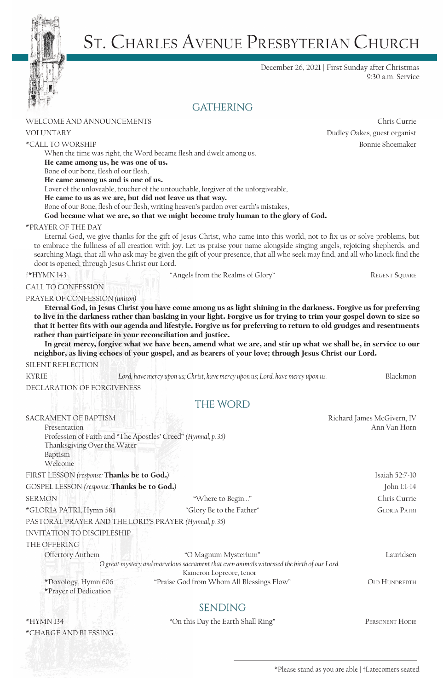

# St. Charles Avenue Presbyterian Church

December 26, 2021 | First Sunday after Christmas 9:30 a.m. Service

# **GATHERING**

### WELCOME AND ANNOUNCEMENTS **Chris** Chris Currie Chris Currie Chris Currie Chris Currie

When the time was right, the Word became flesh and dwelt among us. He came among us, he was one of us.

Bone of our bone, flesh of our flesh,

He came among us and is one of us.

Lover of the unloveable, toucher of the untouchable, forgiver of the unforgiveable,

He came to us as we are, but did not leave us that way.

Bone of our Bone, flesh of our flesh, writing heaven's pardon over earth's mistakes,

God became what we are, so that we might become truly human to the glory of God.

### \*PRAYER OF THE DAY

Eternal God, we give thanks for the gift of Jesus Christ, who came into this world, not to fix us or solve problems, but to embrace the fullness of all creation with joy. Let us praise your name alongside singing angels, rejoicing shepherds, and searching Magi, that all who ask may be given the gift of your presence, that all who seek may find, and all who knock find the door is opened; through Jesus Christ our Lord.

†\*HYMN 143 "Angels from the Realms of Glory" Regent Square

## CALL TO CONFESSION

PRAYER OF CONFESSION *(unison)* 

Eternal God, in Jesus Christ you have come among us as light shining in the darkness. Forgive us for preferring to live in the darkness rather than basking in your light. Forgive us for trying to trim your gospel down to size so that it better fits with our agenda and lifestyle. Forgive us for preferring to return to old grudges and resentments rather than participate in your reconciliation and justice.

In great mercy, forgive what we have been, amend what we are, and stir up what we shall be, in service to our neighbor, as living echoes of your gospel, and as bearers of your love; through Jesus Christ our Lord.

### SILENT REFLECTION

| <b>KYRIE</b>               | Lord, have mercy upon us; Christ, have mercy upon us; Lord, have mercy upon us. | Blackmon |
|----------------------------|---------------------------------------------------------------------------------|----------|
| DECLARATION OF FORGIVENESS |                                                                                 |          |

### THE WORD

| <b>SACRAMENT OF BAPTISM</b>                                   |                                                                                            | Richard James McGivern, IV |
|---------------------------------------------------------------|--------------------------------------------------------------------------------------------|----------------------------|
| Presentation                                                  |                                                                                            | Ann Van Horn               |
| Profession of Faith and "The Apostles' Creed" (Hymnal, p. 35) |                                                                                            |                            |
| Thanksgiving Over the Water                                   |                                                                                            |                            |
| Baptism                                                       |                                                                                            |                            |
| Welcome                                                       |                                                                                            |                            |
| FIRST LESSON (response: Thanks be to God.)                    | Isaiah 52:7-10                                                                             |                            |
| GOSPEL LESSON (response: Thanks be to God.)                   | John 1:1-14                                                                                |                            |
| <b>SERMON</b>                                                 | "Where to Begin"                                                                           | Chris Currie               |
| *GLORIA PATRI, Hymn 581                                       | "Glory Be to the Father"                                                                   | <b>GLORIA PATRI</b>        |
| PASTORAL PRAYER AND THE LORD'S PRAYER (Hymnal, p. 35)         |                                                                                            |                            |
| <b>INVITATION TO DISCIPLESHIP</b>                             |                                                                                            |                            |
| THE OFFERING                                                  |                                                                                            |                            |
| Offertory Anthem                                              | "O Magnum Mysterium"                                                                       | Lauridsen                  |
|                                                               | O great mystery and marvelous sacrament that even animals witnessed the birth of our Lord. |                            |
|                                                               | Kameron Lopreore, tenor                                                                    |                            |
| *Doxology, Hymn 606<br>*Prayer of Dedication                  | "Praise God from Whom All Blessings Flow"                                                  | <b>OLD HUNDREDTH</b>       |
|                                                               | <b>SENDING</b>                                                                             |                            |
| *HYMN 134                                                     | "On this Day the Earth Shall Ring"                                                         | PERSONENT HODIE            |
| *CHARGE AND BLESSING                                          |                                                                                            |                            |

VOLUNTARY Dudley Oakes, guest organist \*CALL TO WORSHIPBonnie Shoemaker

\*Please stand as you are able | †Latecomers seated